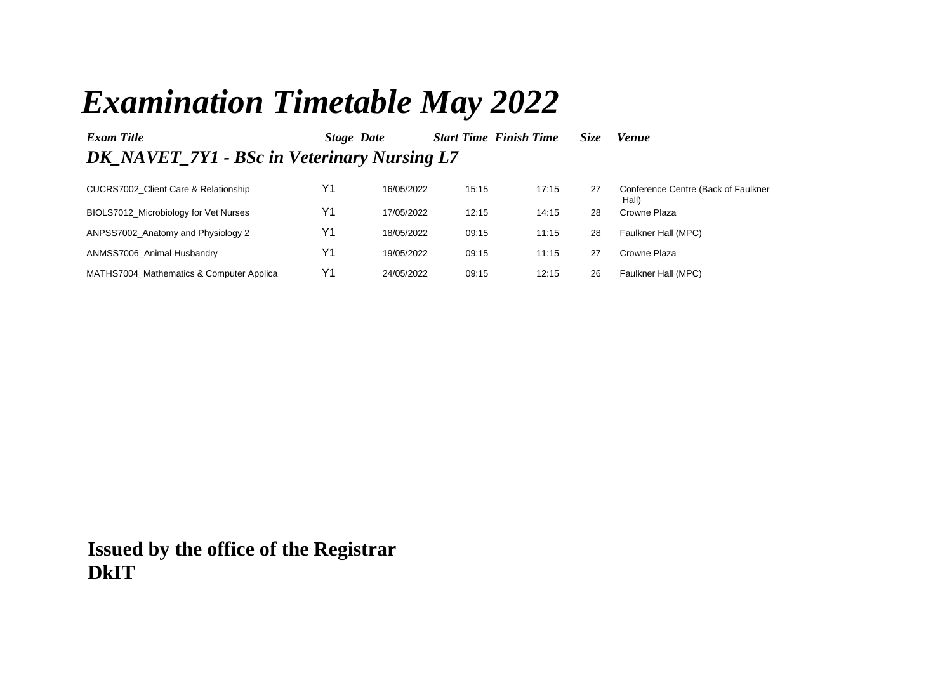## *Examination Timetable May 2022*

| Exam Title                                  | <b>Stage Date</b> |            | <b>Start Time Finish Time</b> |       | <i>Size</i> | Venue                                        |
|---------------------------------------------|-------------------|------------|-------------------------------|-------|-------------|----------------------------------------------|
| DK NAVET 7Y1 - BSc in Veterinary Nursing L7 |                   |            |                               |       |             |                                              |
| CUCRS7002 Client Care & Relationship        | Υ1                | 16/05/2022 | 15:15                         | 17:15 | 27          | Conference Centre (Back of Faulkner<br>Hall) |
| BIOLS7012 Microbiology for Vet Nurses       | Υ1                | 17/05/2022 | 12:15                         | 14:15 | 28          | Crowne Plaza                                 |
| ANPSS7002_Anatomy and Physiology 2          | Υ1                | 18/05/2022 | 09:15                         | 11:15 | 28          | Faulkner Hall (MPC)                          |
| ANMSS7006 Animal Husbandry                  | Υ1                | 19/05/2022 | 09:15                         | 11:15 | 27          | Crowne Plaza                                 |
| MATHS7004 Mathematics & Computer Applica    | Υ1                | 24/05/2022 | 09:15                         | 12:15 | 26          | Faulkner Hall (MPC)                          |

**Issued by the office of the Registrar DkIT**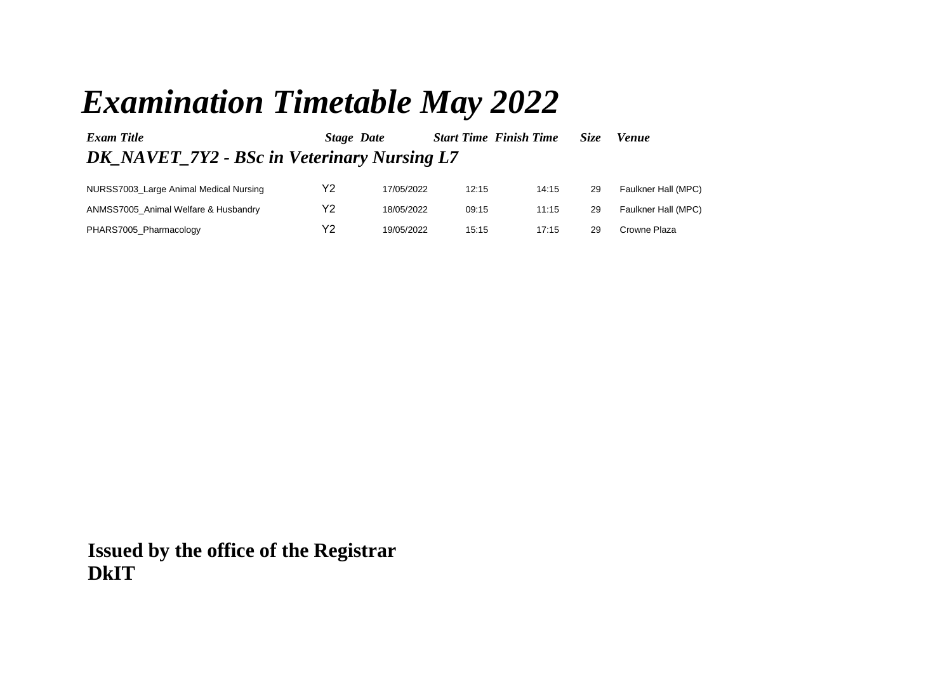## *Examination Timetable May 2022*

| Exam Title                                  | Stage Date |            | <b>Start Time Finish Time</b> |       | <i>Size</i> | <b>Venue</b>        |  |
|---------------------------------------------|------------|------------|-------------------------------|-------|-------------|---------------------|--|
| DK NAVET 7Y2 - BSc in Veterinary Nursing L7 |            |            |                               |       |             |                     |  |
| NURSS7003_Large Animal Medical Nursing      | Υ2         | 17/05/2022 | 12:15                         | 14:15 | 29          | Faulkner Hall (MPC) |  |
| ANMSS7005 Animal Welfare & Husbandry        | Y2         | 18/05/2022 | 09:15                         | 11:15 | 29          | Faulkner Hall (MPC) |  |

| PHARS7005_Pharmacology | V2. | 19/05/2022 | 15:15 |  | 17:15 29 Crowne Plaza |
|------------------------|-----|------------|-------|--|-----------------------|
|                        |     |            |       |  |                       |

**Issued by the office of the Registrar DkIT**